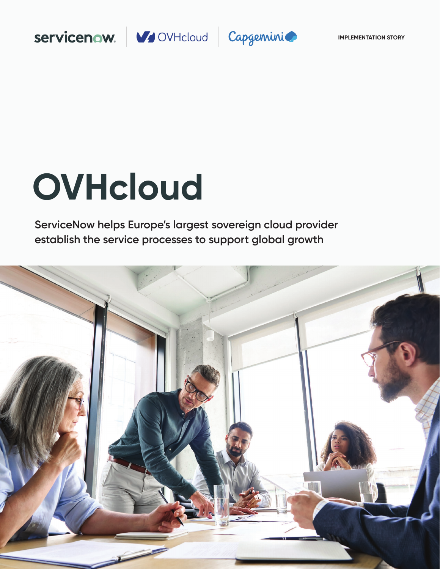



# **OVHcloud**

**ServiceNow helps Europe's largest sovereign cloud provider establish the service processes to support global growth**

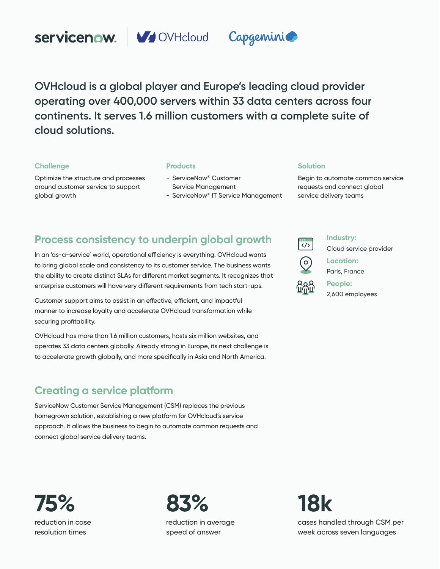





**OVHcloud is a global player and Europe's leading cloud provider operating over 400,000 servers within 33 data centers across four continents. It serves 1.6 million customers with a complete suite of cloud solutions.** 

# **Challenge**

Optimize the structure and processes around customer service to support global growth

# **Products**

- ServiceNow® Customer Service Management
- ServiceNow® IT Service Management

# **Solution**

Begin to automate common service requests and connect global service delivery teams

# **Process consistency to underpin global growth**

In an 'as-a-service' world, operational efficiency is everything. OVHcloud wants to bring global scale and consistency to its customer service. The business wants the ability to create distinct SLAs for different market segments. It recognizes that enterprise customers will have very different requirements from tech start-ups.

Customer support aims to assist in an effective, efficient, and impactful manner to increase loyalty and accelerate OVHcloud transformation while securing profitability.

OVHcloud has more than 1.6 million customers, hosts six million websites, and operates 33 data centers globally. Already strong in Europe, its next challenge is to accelerate growth globally, and more specifically in Asia and North America.

# **Creating a service platform**

ServiceNow Customer Service Management (CSM) replaces the previous homegrown solution, establishing a new platform for OVHcloud's service approach. It allows the business to begin to automate common requests and connect global service delivery teams.

 $\frac{1}{\langle 1 \rangle}$ 

**Industry:**

Cloud service provider



**Location:**  Paris, France

**People:**  2,600 employees

**75%**  reduction in case resolution times

**83%**  reduction in average speed of answer

**18k** 

cases handled through CSM per week across seven languages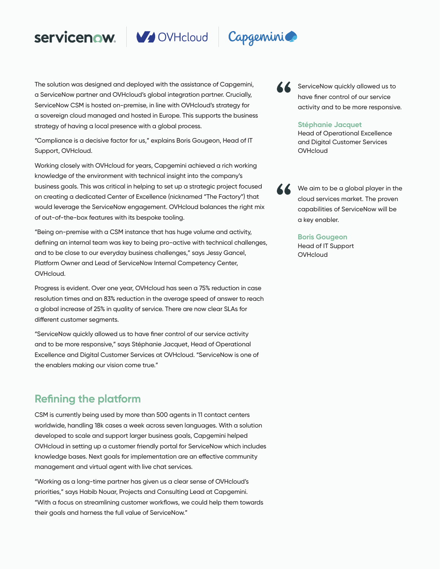



The solution was designed and deployed with the assistance of Capgemini, a ServiceNow partner and OVHcloud's global integration partner. Crucially, ServiceNow CSM is hosted on-premise, in line with OVHcloud's strategy for a sovereign cloud managed and hosted in Europe. This supports the business strategy of having a local presence with a global process.

"Compliance is a decisive factor for us," explains Boris Gougeon, Head of IT Support, OVHcloud.

Working closely with OVHcloud for years, Capgemini achieved a rich working knowledge of the environment with technical insight into the company's business goals. This was critical in helping to set up a strategic project focused on creating a dedicated Center of Excellence (nicknamed "The Factory") that would leverage the ServiceNow engagement. OVHcloud balances the right mix of out-of-the-box features with its bespoke tooling.

"Being on-premise with a CSM instance that has huge volume and activity, defining an internal team was key to being pro-active with technical challenges, and to be close to our everyday business challenges," says Jessy Gancel, Platform Owner and Lead of ServiceNow Internal Competency Center, OVHcloud.

Progress is evident. Over one year, OVHcloud has seen a 75% reduction in case resolution times and an 83% reduction in the average speed of answer to reach a global increase of 25% in quality of service. There are now clear SLAs for different customer segments.

"ServiceNow quickly allowed us to have finer control of our service activity and to be more responsive," says Stéphanie Jacquet, Head of Operational Excellence and Digital Customer Services at OVHcloud. "ServiceNow is one of the enablers making our vision come true."

# **Refining the platform**

CSM is currently being used by more than 500 agents in 11 contact centers worldwide, handling 18k cases a week across seven languages. With a solution developed to scale and support larger business goals, Capgemini helped OVHcloud in setting up a customer friendly portal for ServiceNow which includes knowledge bases. Next goals for implementation are an effective community management and virtual agent with live chat services.

"Working as a long-time partner has given us a clear sense of OVHcloud's priorities," says Habib Nouar, Projects and Consulting Lead at Capgemini. "With a focus on streamlining customer workflows, we could help them towards their goals and harness the full value of ServiceNow."



ServiceNow quickly allowed us to have finer control of our service activity and to be more responsive.

## **Stéphanie Jacquet**

Head of Operational Excellence and Digital Customer Services **OVHcloud** 

We aim to be a global player in the cloud services market. The proven capabilities of ServiceNow will be a key enabler.

# **Boris Gougeon**

Head of IT Support **OVHcloud**